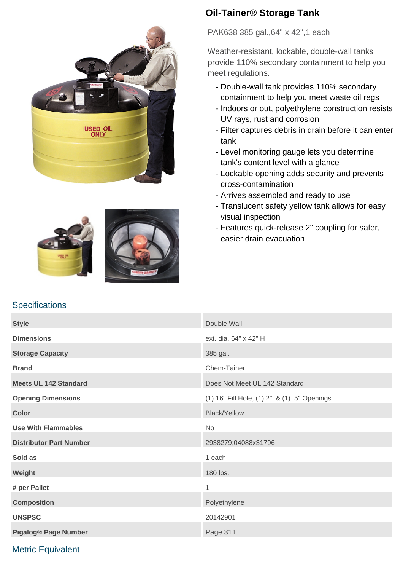





# **Oil-Tainer® Storage Tank**

PAK638 385 gal.,64" x 42",1 each

Weather-resistant, lockable, double-wall tanks provide 110% secondary containment to help you meet regulations.

- Double-wall tank provides 110% secondary containment to help you meet waste oil regs
- Indoors or out, polyethylene construction resists UV rays, rust and corrosion
- Filter captures debris in drain before it can enter tank
- Level monitoring gauge lets you determine tank's content level with a glance
- Lockable opening adds security and prevents cross-contamination
- Arrives assembled and ready to use
- Translucent safety yellow tank allows for easy visual inspection
- Features quick-release 2" coupling for safer, easier drain evacuation

# **Specifications**

| <b>Style</b>                   | Double Wall                                   |
|--------------------------------|-----------------------------------------------|
| <b>Dimensions</b>              | ext. dia. 64" x 42" H                         |
| <b>Storage Capacity</b>        | 385 gal.                                      |
| <b>Brand</b>                   | Chem-Tainer                                   |
| <b>Meets UL 142 Standard</b>   | Does Not Meet UL 142 Standard                 |
| <b>Opening Dimensions</b>      | (1) 16" Fill Hole, (1) 2", & (1) .5" Openings |
| <b>Color</b>                   | <b>Black/Yellow</b>                           |
| <b>Use With Flammables</b>     | <b>No</b>                                     |
| <b>Distributor Part Number</b> | 2938279;04088x31796                           |
| Sold as                        | 1 each                                        |
| Weight                         | 180 lbs.                                      |
| # per Pallet                   | 1                                             |
| <b>Composition</b>             | Polyethylene                                  |
| <b>UNSPSC</b>                  | 20142901                                      |
| <b>Pigalog® Page Number</b>    | Page 311                                      |

## Metric Equivalent